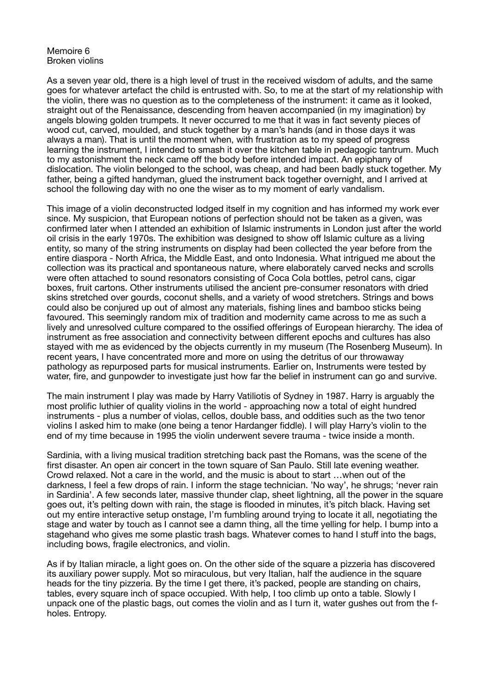## Memoire 6 Broken violins

As a seven year old, there is a high level of trust in the received wisdom of adults, and the same goes for whatever artefact the child is entrusted with. So, to me at the start of my relationship with the violin, there was no question as to the completeness of the instrument: it came as it looked, straight out of the Renaissance, descending from heaven accompanied (in my imagination) by angels blowing golden trumpets. It never occurred to me that it was in fact seventy pieces of wood cut, carved, moulded, and stuck together by a man's hands (and in those days it was always a man). That is until the moment when, with frustration as to my speed of progress learning the instrument, I intended to smash it over the kitchen table in pedagogic tantrum. Much to my astonishment the neck came off the body before intended impact. An epiphany of dislocation. The violin belonged to the school, was cheap, and had been badly stuck together. My father, being a gifted handyman, glued the instrument back together overnight, and I arrived at school the following day with no one the wiser as to my moment of early vandalism.

This image of a violin deconstructed lodged itself in my cognition and has informed my work ever since. My suspicion, that European notions of perfection should not be taken as a given, was confirmed later when I attended an exhibition of Islamic instruments in London just after the world oil crisis in the early 1970s. The exhibition was designed to show off Islamic culture as a living entity, so many of the string instruments on display had been collected the year before from the entire diaspora - North Africa, the Middle East, and onto Indonesia. What intrigued me about the collection was its practical and spontaneous nature, where elaborately carved necks and scrolls were often attached to sound resonators consisting of Coca Cola bottles, petrol cans, cigar boxes, fruit cartons. Other instruments utilised the ancient pre-consumer resonators with dried skins stretched over gourds, coconut shells, and a variety of wood stretchers. Strings and bows could also be conjured up out of almost any materials, fishing lines and bamboo sticks being favoured. This seemingly random mix of tradition and modernity came across to me as such a lively and unresolved culture compared to the ossified offerings of European hierarchy. The idea of instrument as free association and connectivity between different epochs and cultures has also stayed with me as evidenced by the objects currently in my museum (The Rosenberg Museum). In recent years, I have concentrated more and more on using the detritus of our throwaway pathology as repurposed parts for musical instruments. Earlier on, Instruments were tested by water, fire, and gunpowder to investigate just how far the belief in instrument can go and survive.

The main instrument I play was made by Harry Vatiliotis of Sydney in 1987. Harry is arguably the most prolific luthier of quality violins in the world - approaching now a total of eight hundred instruments - plus a number of violas, cellos, double bass, and oddities such as the two tenor violins I asked him to make (one being a tenor Hardanger fiddle). I will play Harry's violin to the end of my time because in 1995 the violin underwent severe trauma - twice inside a month.

Sardinia, with a living musical tradition stretching back past the Romans, was the scene of the first disaster. An open air concert in the town square of San Paulo. Still late evening weather. Crowd relaxed. Not a care in the world, and the music is about to start …when out of the darkness, I feel a few drops of rain. I inform the stage technician. 'No way', he shrugs; 'never rain in Sardinia'. A few seconds later, massive thunder clap, sheet lightning, all the power in the square goes out, it's pelting down with rain, the stage is flooded in minutes, it's pitch black. Having set out my entire interactive setup onstage, I'm fumbling around trying to locate it all, negotiating the stage and water by touch as I cannot see a damn thing, all the time yelling for help. I bump into a stagehand who gives me some plastic trash bags. Whatever comes to hand I stuff into the bags, including bows, fragile electronics, and violin.

As if by Italian miracle, a light goes on. On the other side of the square a pizzeria has discovered its auxiliary power supply. Mot so miraculous, but very Italian, half the audience in the square heads for the tiny pizzeria. By the time I get there, it's packed, people are standing on chairs, tables, every square inch of space occupied. With help, I too climb up onto a table. Slowly I unpack one of the plastic bags, out comes the violin and as I turn it, water gushes out from the fholes. Entropy.